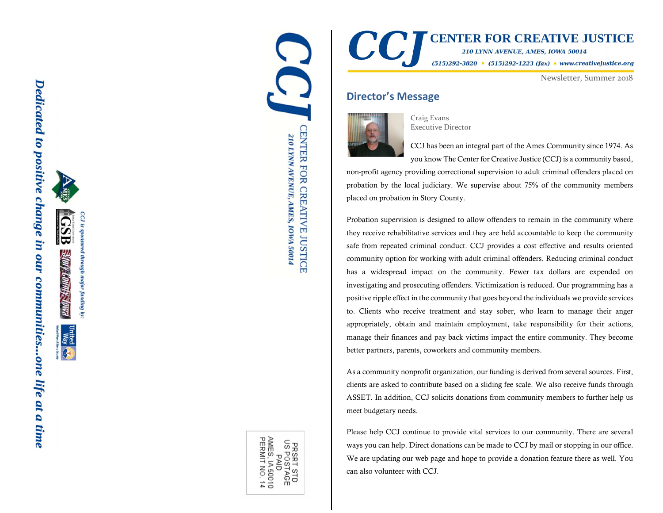



# **CENTER FOR CREATIVE JUSTICE CCJ**

210 LYNN AVENUE, AMES, IOWA 50014 (515)292-3820 • (515)292-1223 (fax) • www.creativejustice.org

Newsletter, Summer 2018

# Director's Message



Craig Evans Executive Director

CCJ has been an integral part of the Ames Community since 1974. As you know The Center for Creative Justice (CCJ) is a community based,

non-profit agency providing correctional supervision to adult criminal offenders placed on probation by the local judiciary. We supervise about 75% of the community members placed on probation in Story County.

Probation supervision is designed to allow offenders to remain in the community where they receive rehabilitative services and they are held accountable to keep the community safe from repeated criminal conduct. CCJ provides a cost effective and results oriented community option for working with adult criminal offenders. Reducing criminal conduct has a widespread impact on the community. Fewer tax dollars are expended on investigating and prosecuting offenders. Victimization is reduced. Our programming has a positive ripple effect in the community that goes beyond the individuals we provide services to. Clients who receive treatment and stay sober, who learn to manage their anger appropriately, obtain and maintain employment, take responsibility for their actions, manage their finances and pay back victims impact the entire community. They become better partners, parents, coworkers and community members.

As a community nonprofit organization, our funding is derived from several sources. First, clients are asked to contribute based on a sliding fee scale. We also receive funds through ASSET. In addition, CCJ solicits donations from community members to further help us meet budgetary needs.

Please help CCJ continue to provide vital services to our community. There are several ways you can help. Direct donations can be made to CCJ by mail or stopping in our office. We are updating our web page and hope to provide a donation feature there as well. You can also volunteer with CCJ.